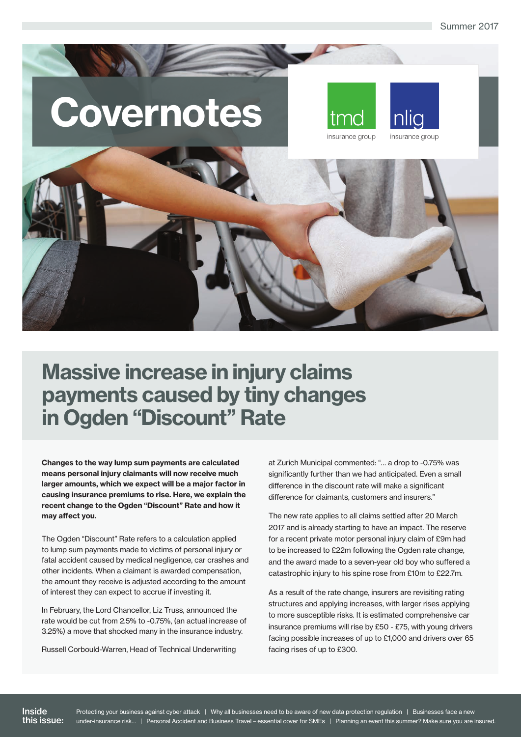Summer 2017

# Covernotes





## Massive increase in injury claims payments caused by tiny changes in Ogden "Discount" Rate

Changes to the way lump sum payments are calculated means personal injury claimants will now receive much larger amounts, which we expect will be a major factor in causing insurance premiums to rise. Here, we explain the recent change to the Ogden "Discount" Rate and how it may affect you.

The Ogden "Discount" Rate refers to a calculation applied to lump sum payments made to victims of personal injury or fatal accident caused by medical negligence, car crashes and other incidents. When a claimant is awarded compensation, the amount they receive is adjusted according to the amount of interest they can expect to accrue if investing it.

In February, the Lord Chancellor, Liz Truss, announced the rate would be cut from 2.5% to -0.75%, (an actual increase of 3.25%) a move that shocked many in the insurance industry.

Russell Corbould-Warren, Head of Technical Underwriting

at Zurich Municipal commented: "… a drop to -0.75% was significantly further than we had anticipated. Even a small difference in the discount rate will make a significant difference for claimants, customers and insurers."

The new rate applies to all claims settled after 20 March 2017 and is already starting to have an impact. The reserve for a recent private motor personal injury claim of £9m had to be increased to £22m following the Ogden rate change, and the award made to a seven-year old boy who suffered a catastrophic injury to his spine rose from £10m to £22.7m.

As a result of the rate change, insurers are revisiting rating structures and applying increases, with larger rises applying to more susceptible risks. It is estimated comprehensive car insurance premiums will rise by £50 - £75, with young drivers facing possible increases of up to £1,000 and drivers over 65 facing rises of up to £300.

Inside this issue: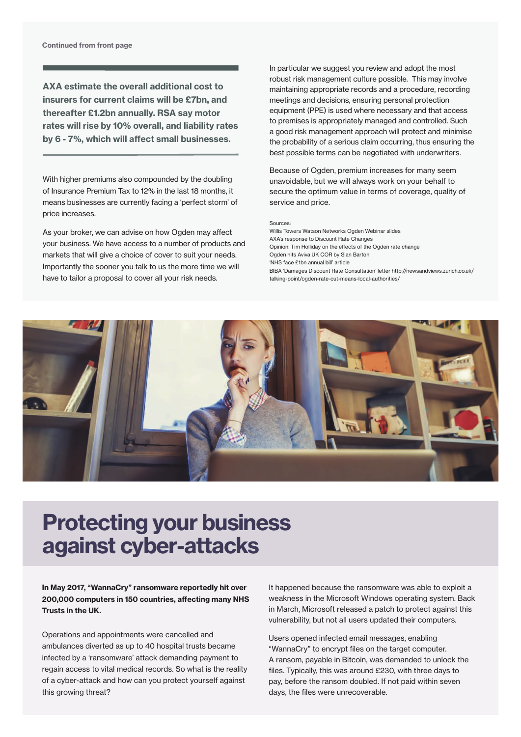AXA estimate the overall additional cost to insurers for current claims will be £7bn, and thereafter £1.2bn annually. RSA say motor rates will rise by 10% overall, and liability rates by 6 - 7%, which will affect small businesses.

With higher premiums also compounded by the doubling of Insurance Premium Tax to 12% in the last 18 months, it means businesses are currently facing a 'perfect storm' of price increases.

As your broker, we can advise on how Ogden may affect your business. We have access to a number of products and markets that will give a choice of cover to suit your needs. Importantly the sooner you talk to us the more time we will have to tailor a proposal to cover all your risk needs.

In particular we suggest you review and adopt the most robust risk management culture possible. This may involve maintaining appropriate records and a procedure, recording meetings and decisions, ensuring personal protection equipment (PPE) is used where necessary and that access to premises is appropriately managed and controlled. Such a good risk management approach will protect and minimise the probability of a serious claim occurring, thus ensuring the best possible terms can be negotiated with underwriters.

Because of Ogden, premium increases for many seem unavoidable, but we will always work on your behalf to secure the optimum value in terms of coverage, quality of service and price.

#### Sources:

Willis Towers Watson Networks Ogden Webinar slides AXA's response to Discount Rate Changes Opinion: Tim Holliday on the effects of the Ogden rate change Ogden hits Aviva UK COR by Sian Barton 'NHS face £1bn annual bill' article BIBA 'Damages Discount Rate Consultation' letter http://newsandviews.zurich.co.uk/ talking-point/ogden-rate-cut-means-local-authorities/



#### Protecting your business against cyber-attacks

In May 2017, "WannaCry" ransomware reportedly hit over 200,000 computers in 150 countries, affecting many NHS Trusts in the UK.

Operations and appointments were cancelled and ambulances diverted as up to 40 hospital trusts became infected by a 'ransomware' attack demanding payment to regain access to vital medical records. So what is the reality of a cyber-attack and how can you protect yourself against this growing threat?

It happened because the ransomware was able to exploit a weakness in the Microsoft Windows operating system. Back in March, Microsoft released a patch to protect against this vulnerability, but not all users updated their computers.

Users opened infected email messages, enabling "WannaCry" to encrypt files on the target computer. A ransom, payable in Bitcoin, was demanded to unlock the files. Typically, this was around £230, with three days to pay, before the ransom doubled. If not paid within seven days, the files were unrecoverable.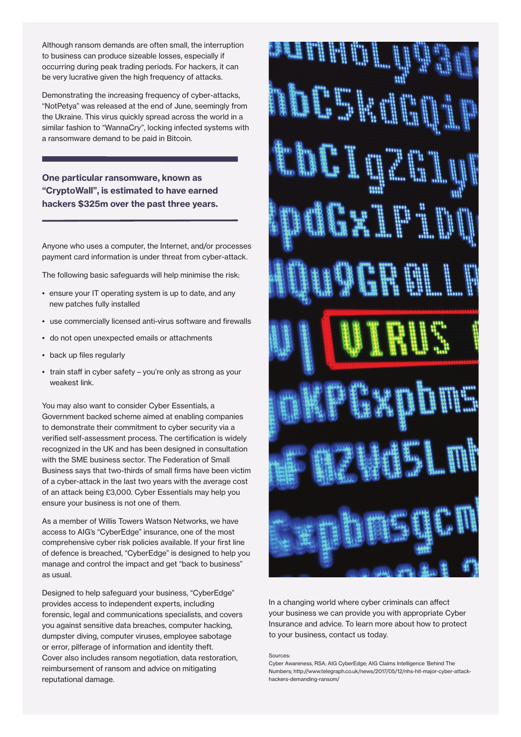Although ransom demands are often small, the interruption to business can produce sizeable losses, especially if occurring during peak trading periods. For hackers, it can be very lucrative given the high frequency of attacks.

Demonstrating the increasing frequency of cyber-attacks, "NotPetya" was released at the end of June, seemingly from the Ukraine. This virus quickly spread across the world in a similar fashion to "WannaCry", locking infected systems with a ransomware demand to be paid in Bitcoin.

One particular ransomware, known as "CryptoWall", is estimated to have earned hackers \$325m over the past three years.

Anyone who uses a computer, the Internet, and/or processes payment card information is under threat from cyber-attack.

The following basic safeguards will help minimise the risk:

- ensure your IT operating system is up to date, and any new patches fully installed
- use commercially licensed anti-virus software and firewalls
- do not open unexpected emails or attachments
- back up files regularly
- train staff in cyber safety you're only as strong as your weakest link.

You may also want to consider Cyber Essentials, a Government backed scheme aimed at enabling companies to demonstrate their commitment to cyber security via a verified self-assessment process. The certification is widely recognized in the UK and has been designed in consultation with the SME business sector. The Federation of Small Business says that two-thirds of small firms have been victim of a cyber-attack in the last two years with the average cost of an attack being £3,000. Cyber Essentials may help you ensure your business is not one of them.

As a member of Willis Towers Watson Networks, we have access to AIG's "CyberEdge" insurance, one of the most comprehensive cyber risk policies available. If your first line of defence is breached, "CyberEdge" is designed to help you manage and control the impact and get "back to business" as usual.

Designed to help safeguard your business, "CyberEdge" provides access to independent experts, including forensic, legal and communications specialists, and covers you against sensitive data breaches, computer hacking, dumpster diving, computer viruses, employee sabotage or error, pilferage of information and identity theft. Cover also includes ransom negotiation, data restoration, reimbursement of ransom and advice on mitigating reputational damage.



In a changing world where cyber criminals can affect your business we can provide you with appropriate Cyber Insurance and advice. To learn more about how to protect to your business, contact us today.

#### Sources:

Cyber Awareness, RSA; AIG CyberEdge; AIG Claims Intelligence 'Behind The Numbers; http://www.telegraph.co.uk/news/2017/05/12/nhs-hit-major-cyber-attackhackers-demanding-ransom/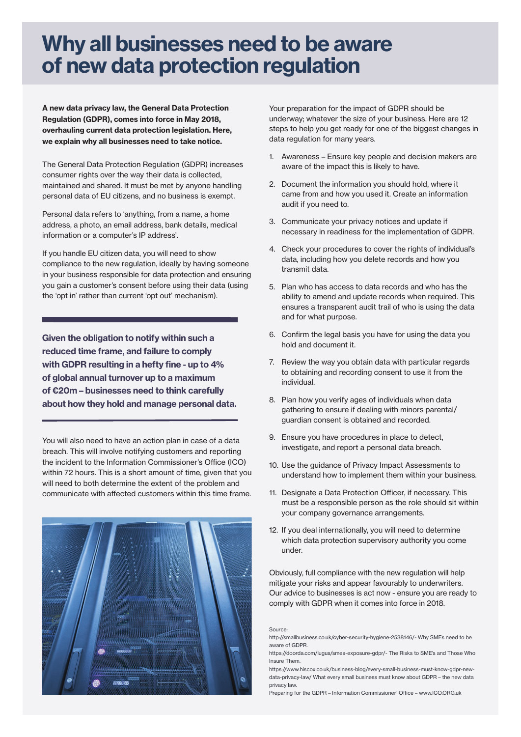### Why all businesses need to be aware of new data protection regulation

A new data privacy law, the General Data Protection Regulation (GDPR), comes into force in May 2018, overhauling current data protection legislation. Here, we explain why all businesses need to take notice.

The General Data Protection Regulation (GDPR) increases consumer rights over the way their data is collected, maintained and shared. It must be met by anyone handling personal data of EU citizens, and no business is exempt.

Personal data refers to 'anything, from a name, a home address, a photo, an email address, bank details, medical information or a computer's IP address'.

If you handle EU citizen data, you will need to show compliance to the new regulation, ideally by having someone in your business responsible for data protection and ensuring you gain a customer's consent before using their data (using the 'opt in' rather than current 'opt out' mechanism).

Given the obligation to notify within such a reduced time frame, and failure to comply with GDPR resulting in a hefty fine - up to 4% of global annual turnover up to a maximum of €20m – businesses need to think carefully about how they hold and manage personal data.

You will also need to have an action plan in case of a data breach. This will involve notifying customers and reporting the incident to the Information Commissioner's Office (ICO) within 72 hours. This is a short amount of time, given that you will need to both determine the extent of the problem and communicate with affected customers within this time frame.



Your preparation for the impact of GDPR should be underway; whatever the size of your business. Here are 12 steps to help you get ready for one of the biggest changes in data regulation for many years.

- 1. Awareness Ensure key people and decision makers are aware of the impact this is likely to have.
- 2. Document the information you should hold, where it came from and how you used it. Create an information audit if you need to.
- 3. Communicate your privacy notices and update if necessary in readiness for the implementation of GDPR.
- 4. Check your procedures to cover the rights of individual's data, including how you delete records and how you transmit data.
- 5. Plan who has access to data records and who has the ability to amend and update records when required. This ensures a transparent audit trail of who is using the data and for what purpose.
- 6. Confirm the legal basis you have for using the data you hold and document it.
- 7. Review the way you obtain data with particular regards to obtaining and recording consent to use it from the individual.
- 8. Plan how you verify ages of individuals when data gathering to ensure if dealing with minors parental/ guardian consent is obtained and recorded.
- 9. Ensure you have procedures in place to detect, investigate, and report a personal data breach.
- 10. Use the guidance of Privacy Impact Assessments to understand how to implement them within your business.
- 11. Designate a Data Protection Officer, if necessary. This must be a responsible person as the role should sit within your company governance arrangements.
- 12. If you deal internationally, you will need to determine which data protection supervisory authority you come under.

Obviously, full compliance with the new regulation will help mitigate your risks and appear favourably to underwriters. Our advice to businesses is act now - ensure you are ready to comply with GDPR when it comes into force in 2018.

Source:

https://www.hiscox.co.uk/business-blog/every-small-business-must-know-gdpr-newdata-privacy-law/ What every small business must know about GDPR – the new data privacy law.



http://smallbusiness.co.uk/cyber-security-hygiene-2538146/- Why SMEs need to be aware of GDPR.

https://doorda.com/lugus/smes-exposure-gdpr/- The Risks to SME's and Those Who Insure Them.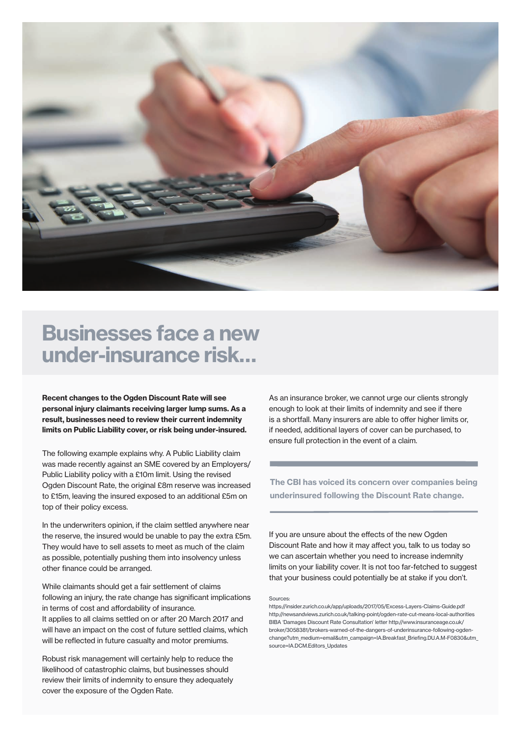

#### Businesses face a new under-insurance risk…

Recent changes to the Ogden Discount Rate will see personal injury claimants receiving larger lump sums. As a result, businesses need to review their current indemnity limits on Public Liability cover, or risk being under-insured.

The following example explains why. A Public Liability claim was made recently against an SME covered by an Employers/ Public Liability policy with a £10m limit. Using the revised Ogden Discount Rate, the original £8m reserve was increased to £15m, leaving the insured exposed to an additional £5m on top of their policy excess.

In the underwriters opinion, if the claim settled anywhere near the reserve, the insured would be unable to pay the extra £5m. They would have to sell assets to meet as much of the claim as possible, potentially pushing them into insolvency unless other finance could be arranged.

While claimants should get a fair settlement of claims following an injury, the rate change has significant implications in terms of cost and affordability of insurance. It applies to all claims settled on or after 20 March 2017 and will have an impact on the cost of future settled claims, which will be reflected in future casualty and motor premiums.

Robust risk management will certainly help to reduce the likelihood of catastrophic claims, but businesses should review their limits of indemnity to ensure they adequately cover the exposure of the Ogden Rate.

As an insurance broker, we cannot urge our clients strongly enough to look at their limits of indemnity and see if there is a shortfall. Many insurers are able to offer higher limits or, if needed, additional layers of cover can be purchased, to ensure full protection in the event of a claim.

The CBI has voiced its concern over companies being underinsured following the Discount Rate change.

If you are unsure about the effects of the new Ogden Discount Rate and how it may affect you, talk to us today so we can ascertain whether you need to increase indemnity limits on your liability cover. It is not too far-fetched to suggest that your business could potentially be at stake if you don't.

#### Sources:

https://insider.zurich.co.uk/app/uploads/2017/05/Excess-Layers-Claims-Guide.pdf http://newsandviews.zurich.co.uk/talking-point/ogden-rate-cut-means-local-authorities BIBA 'Damages Discount Rate Consultation' letter http://www.insuranceage.co.uk/ broker/3058381/brokers-warned-of-the-dangers-of-underinsurance-following-ogdenchange?utm\_medium=email&utm\_campaign=IA.Breakfast\_Briefing.DU.A.M-F0830&utm\_ source=IA.DCM.Editors\_Updates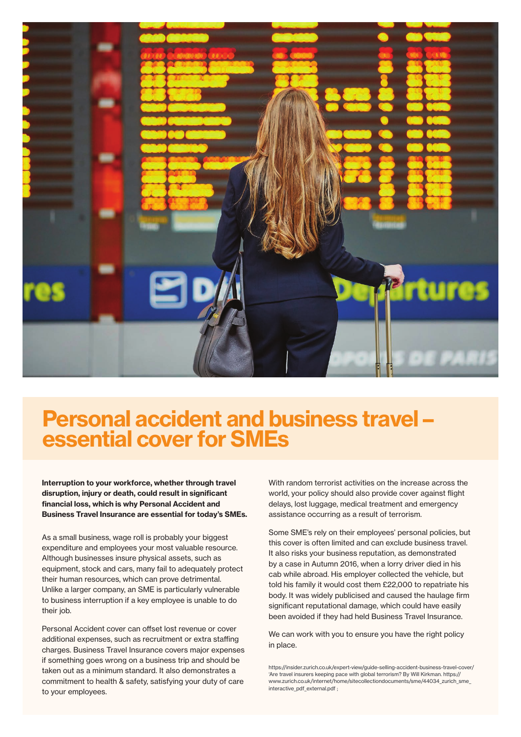

### Personal accident and business travel – essential cover for SMEs

Interruption to your workforce, whether through travel disruption, injury or death, could result in significant financial loss, which is why Personal Accident and Business Travel Insurance are essential for today's SMEs.

As a small business, wage roll is probably your biggest expenditure and employees your most valuable resource. Although businesses insure physical assets, such as equipment, stock and cars, many fail to adequately protect their human resources, which can prove detrimental. Unlike a larger company, an SME is particularly vulnerable to business interruption if a key employee is unable to do their job.

Personal Accident cover can offset lost revenue or cover additional expenses, such as recruitment or extra staffing charges. Business Travel Insurance covers major expenses if something goes wrong on a business trip and should be taken out as a minimum standard. It also demonstrates a commitment to health & safety, satisfying your duty of care to your employees.

With random terrorist activities on the increase across the world, your policy should also provide cover against flight delays, lost luggage, medical treatment and emergency assistance occurring as a result of terrorism.

Some SME's rely on their employees' personal policies, but this cover is often limited and can exclude business travel. It also risks your business reputation, as demonstrated by a case in Autumn 2016, when a lorry driver died in his cab while abroad. His employer collected the vehicle, but told his family it would cost them £22,000 to repatriate his body. It was widely publicised and caused the haulage firm significant reputational damage, which could have easily been avoided if they had held Business Travel Insurance.

We can work with you to ensure you have the right policy in place.

https://insider.zurich.co.uk/expert-view/guide-selling-accident-business-travel-cover/ 'Are travel insurers keeping pace with global terrorism? By Will Kirkman. https:// www.zurich.co.uk/internet/home/sitecollectiondocuments/sme/44034\_zurich\_sme interactive pdf external.pdf ;